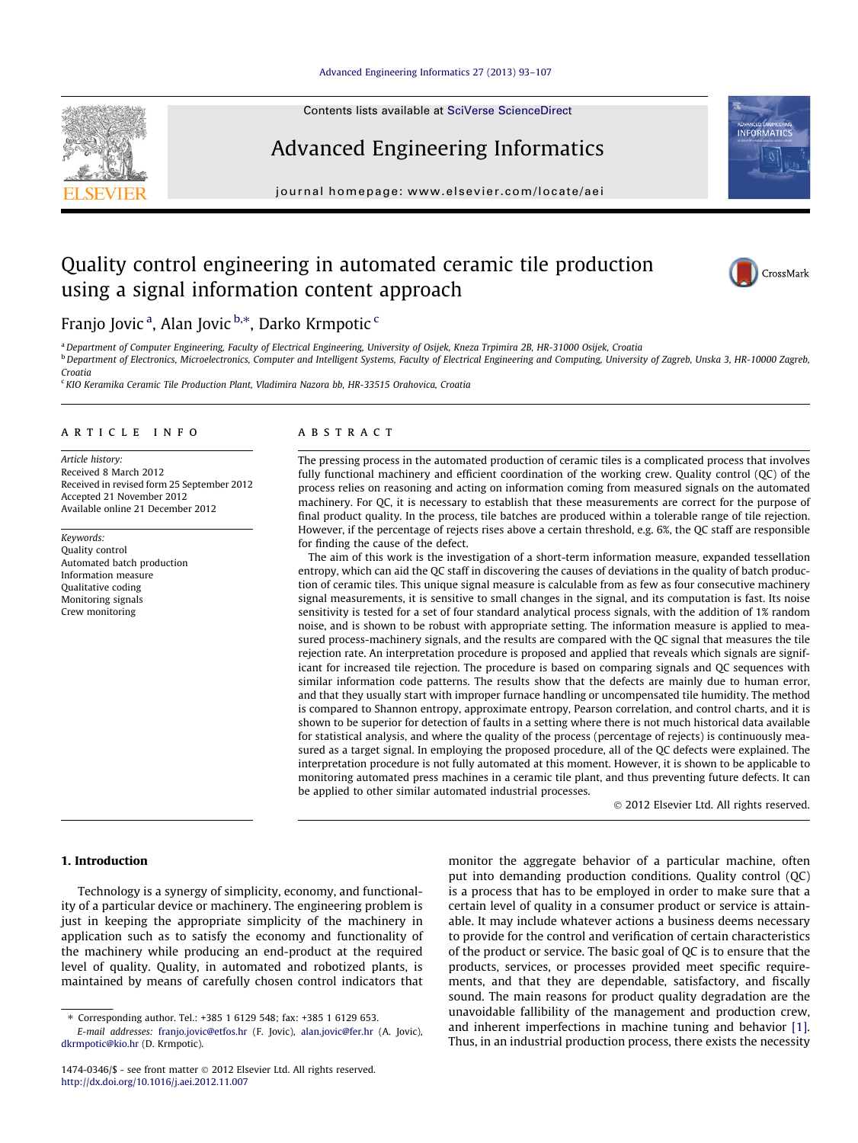#### [Advanced Engineering Informatics 27 \(2013\) 93–107](http://dx.doi.org/10.1016/j.aei.2012.11.007)

Contents lists available at [SciVerse ScienceDirect](http://www.sciencedirect.com/science/journal/14740346)

## Advanced Engineering Informatics

journal homepage: [www.elsevier.com/locate/aei](http://www.elsevier.com/locate/aei)

### Quality control engineering in automated ceramic tile production using a signal information content approach



**INFORMATICS** 

### Franjo Jovic <sup>a</sup>, Alan Jovic <sup>b,</sup>\*, Darko Krmpotic <sup>c</sup>

a Department of Computer Engineering, Faculty of Electrical Engineering, University of Osijek, Kneza Trpimira 2B, HR-31000 Osijek, Croatia <sup>b</sup> Department of Electronics, Microelectronics, Computer and Intelligent Systems, Faculty of Electrical Engineering and Computing, University of Zagreb, Unska 3, HR-10000 Zagreb, Croatia

<sup>c</sup> KIO Keramika Ceramic Tile Production Plant, Vladimira Nazora bb, HR-33515 Orahovica, Croatia

#### article info

Article history: Received 8 March 2012 Received in revised form 25 September 2012 Accepted 21 November 2012 Available online 21 December 2012

Keywords: Quality control Automated batch production Information measure Qualitative coding Monitoring signals Crew monitoring

#### **ABSTRACT**

The pressing process in the automated production of ceramic tiles is a complicated process that involves fully functional machinery and efficient coordination of the working crew. Quality control (QC) of the process relies on reasoning and acting on information coming from measured signals on the automated machinery. For QC, it is necessary to establish that these measurements are correct for the purpose of final product quality. In the process, tile batches are produced within a tolerable range of tile rejection. However, if the percentage of rejects rises above a certain threshold, e.g. 6%, the QC staff are responsible for finding the cause of the defect.

The aim of this work is the investigation of a short-term information measure, expanded tessellation entropy, which can aid the QC staff in discovering the causes of deviations in the quality of batch production of ceramic tiles. This unique signal measure is calculable from as few as four consecutive machinery signal measurements, it is sensitive to small changes in the signal, and its computation is fast. Its noise sensitivity is tested for a set of four standard analytical process signals, with the addition of 1% random noise, and is shown to be robust with appropriate setting. The information measure is applied to measured process-machinery signals, and the results are compared with the QC signal that measures the tile rejection rate. An interpretation procedure is proposed and applied that reveals which signals are significant for increased tile rejection. The procedure is based on comparing signals and QC sequences with similar information code patterns. The results show that the defects are mainly due to human error, and that they usually start with improper furnace handling or uncompensated tile humidity. The method is compared to Shannon entropy, approximate entropy, Pearson correlation, and control charts, and it is shown to be superior for detection of faults in a setting where there is not much historical data available for statistical analysis, and where the quality of the process (percentage of rejects) is continuously measured as a target signal. In employing the proposed procedure, all of the QC defects were explained. The interpretation procedure is not fully automated at this moment. However, it is shown to be applicable to monitoring automated press machines in a ceramic tile plant, and thus preventing future defects. It can be applied to other similar automated industrial processes.

- 2012 Elsevier Ltd. All rights reserved.

#### 1. Introduction

Technology is a synergy of simplicity, economy, and functionality of a particular device or machinery. The engineering problem is just in keeping the appropriate simplicity of the machinery in application such as to satisfy the economy and functionality of the machinery while producing an end-product at the required level of quality. Quality, in automated and robotized plants, is maintained by means of carefully chosen control indicators that

⇑ Corresponding author. Tel.: +385 1 6129 548; fax: +385 1 6129 653.

monitor the aggregate behavior of a particular machine, often put into demanding production conditions. Quality control (QC) is a process that has to be employed in order to make sure that a certain level of quality in a consumer product or service is attainable. It may include whatever actions a business deems necessary to provide for the control and verification of certain characteristics of the product or service. The basic goal of QC is to ensure that the products, services, or processes provided meet specific requirements, and that they are dependable, satisfactory, and fiscally sound. The main reasons for product quality degradation are the unavoidable fallibility of the management and production crew, and inherent imperfections in machine tuning and behavior [\[1\].](#page--1-0) Thus, in an industrial production process, there exists the necessity



E-mail addresses: [franjo.jovic@etfos.hr](mailto:franjo.jovic@etfos.hr) (F. Jovic), [alan.jovic@fer.hr](mailto:alan.jovic@fer.hr) (A. Jovic), [dkrmpotic@kio.hr](mailto:dkrmpotic@kio.hr) (D. Krmpotic).

<sup>1474-0346/\$ -</sup> see front matter @ 2012 Elsevier Ltd. All rights reserved. <http://dx.doi.org/10.1016/j.aei.2012.11.007>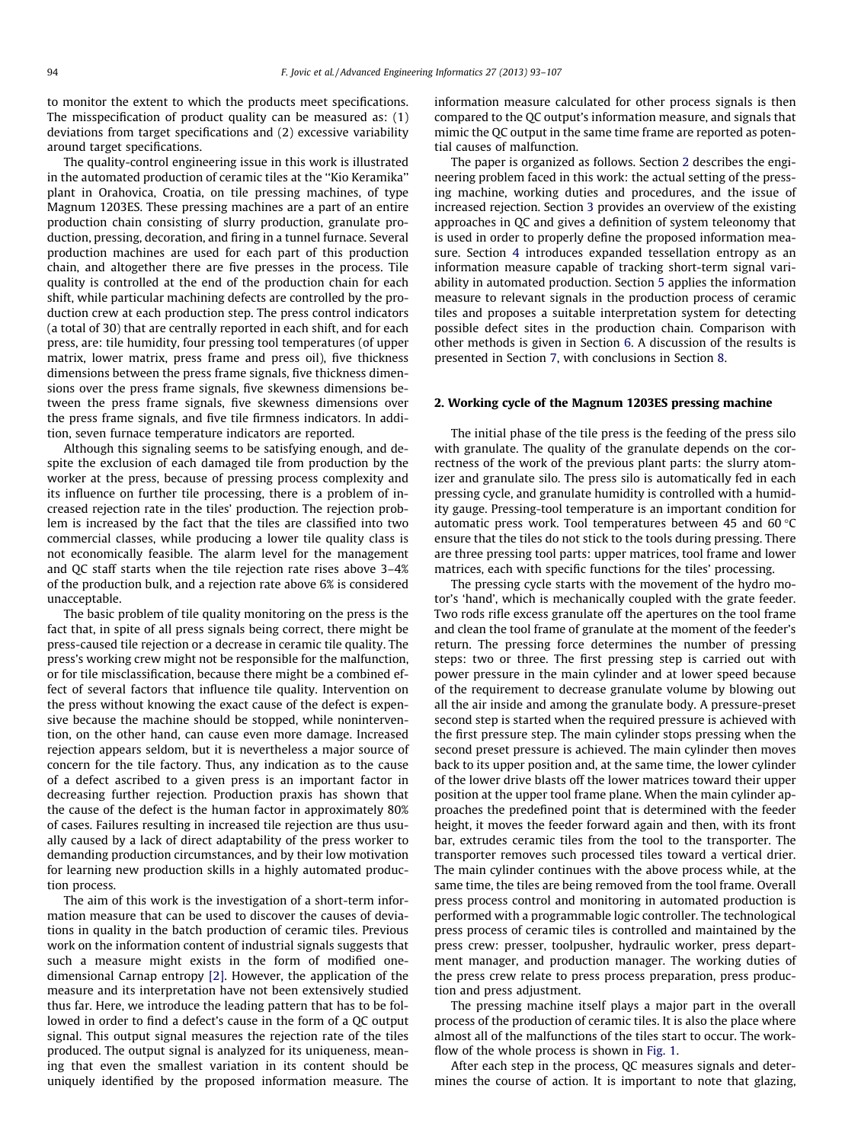to monitor the extent to which the products meet specifications. The misspecification of product quality can be measured as: (1) deviations from target specifications and (2) excessive variability around target specifications.

The quality-control engineering issue in this work is illustrated in the automated production of ceramic tiles at the ''Kio Keramika'' plant in Orahovica, Croatia, on tile pressing machines, of type Magnum 1203ES. These pressing machines are a part of an entire production chain consisting of slurry production, granulate production, pressing, decoration, and firing in a tunnel furnace. Several production machines are used for each part of this production chain, and altogether there are five presses in the process. Tile quality is controlled at the end of the production chain for each shift, while particular machining defects are controlled by the production crew at each production step. The press control indicators (a total of 30) that are centrally reported in each shift, and for each press, are: tile humidity, four pressing tool temperatures (of upper matrix, lower matrix, press frame and press oil), five thickness dimensions between the press frame signals, five thickness dimensions over the press frame signals, five skewness dimensions between the press frame signals, five skewness dimensions over the press frame signals, and five tile firmness indicators. In addition, seven furnace temperature indicators are reported.

Although this signaling seems to be satisfying enough, and despite the exclusion of each damaged tile from production by the worker at the press, because of pressing process complexity and its influence on further tile processing, there is a problem of increased rejection rate in the tiles' production. The rejection problem is increased by the fact that the tiles are classified into two commercial classes, while producing a lower tile quality class is not economically feasible. The alarm level for the management and QC staff starts when the tile rejection rate rises above 3–4% of the production bulk, and a rejection rate above 6% is considered unacceptable.

The basic problem of tile quality monitoring on the press is the fact that, in spite of all press signals being correct, there might be press-caused tile rejection or a decrease in ceramic tile quality. The press's working crew might not be responsible for the malfunction, or for tile misclassification, because there might be a combined effect of several factors that influence tile quality. Intervention on the press without knowing the exact cause of the defect is expensive because the machine should be stopped, while nonintervention, on the other hand, can cause even more damage. Increased rejection appears seldom, but it is nevertheless a major source of concern for the tile factory. Thus, any indication as to the cause of a defect ascribed to a given press is an important factor in decreasing further rejection. Production praxis has shown that the cause of the defect is the human factor in approximately 80% of cases. Failures resulting in increased tile rejection are thus usually caused by a lack of direct adaptability of the press worker to demanding production circumstances, and by their low motivation for learning new production skills in a highly automated production process.

The aim of this work is the investigation of a short-term information measure that can be used to discover the causes of deviations in quality in the batch production of ceramic tiles. Previous work on the information content of industrial signals suggests that such a measure might exists in the form of modified onedimensional Carnap entropy [\[2\].](#page--1-0) However, the application of the measure and its interpretation have not been extensively studied thus far. Here, we introduce the leading pattern that has to be followed in order to find a defect's cause in the form of a QC output signal. This output signal measures the rejection rate of the tiles produced. The output signal is analyzed for its uniqueness, meaning that even the smallest variation in its content should be uniquely identified by the proposed information measure. The information measure calculated for other process signals is then compared to the QC output's information measure, and signals that mimic the QC output in the same time frame are reported as potential causes of malfunction.

The paper is organized as follows. Section 2 describes the engineering problem faced in this work: the actual setting of the pressing machine, working duties and procedures, and the issue of increased rejection. Section [3](#page--1-0) provides an overview of the existing approaches in QC and gives a definition of system teleonomy that is used in order to properly define the proposed information mea-sure. Section [4](#page--1-0) introduces expanded tessellation entropy as an information measure capable of tracking short-term signal variability in automated production. Section [5](#page--1-0) applies the information measure to relevant signals in the production process of ceramic tiles and proposes a suitable interpretation system for detecting possible defect sites in the production chain. Comparison with other methods is given in Section [6](#page--1-0). A discussion of the results is presented in Section [7,](#page--1-0) with conclusions in Section [8](#page--1-0).

#### 2. Working cycle of the Magnum 1203ES pressing machine

The initial phase of the tile press is the feeding of the press silo with granulate. The quality of the granulate depends on the correctness of the work of the previous plant parts: the slurry atomizer and granulate silo. The press silo is automatically fed in each pressing cycle, and granulate humidity is controlled with a humidity gauge. Pressing-tool temperature is an important condition for automatic press work. Tool temperatures between 45 and 60 $\degree$ C ensure that the tiles do not stick to the tools during pressing. There are three pressing tool parts: upper matrices, tool frame and lower matrices, each with specific functions for the tiles' processing.

The pressing cycle starts with the movement of the hydro motor's 'hand', which is mechanically coupled with the grate feeder. Two rods rifle excess granulate off the apertures on the tool frame and clean the tool frame of granulate at the moment of the feeder's return. The pressing force determines the number of pressing steps: two or three. The first pressing step is carried out with power pressure in the main cylinder and at lower speed because of the requirement to decrease granulate volume by blowing out all the air inside and among the granulate body. A pressure-preset second step is started when the required pressure is achieved with the first pressure step. The main cylinder stops pressing when the second preset pressure is achieved. The main cylinder then moves back to its upper position and, at the same time, the lower cylinder of the lower drive blasts off the lower matrices toward their upper position at the upper tool frame plane. When the main cylinder approaches the predefined point that is determined with the feeder height, it moves the feeder forward again and then, with its front bar, extrudes ceramic tiles from the tool to the transporter. The transporter removes such processed tiles toward a vertical drier. The main cylinder continues with the above process while, at the same time, the tiles are being removed from the tool frame. Overall press process control and monitoring in automated production is performed with a programmable logic controller. The technological press process of ceramic tiles is controlled and maintained by the press crew: presser, toolpusher, hydraulic worker, press department manager, and production manager. The working duties of the press crew relate to press process preparation, press production and press adjustment.

The pressing machine itself plays a major part in the overall process of the production of ceramic tiles. It is also the place where almost all of the malfunctions of the tiles start to occur. The workflow of the whole process is shown in [Fig. 1.](#page--1-0)

After each step in the process, QC measures signals and determines the course of action. It is important to note that glazing,